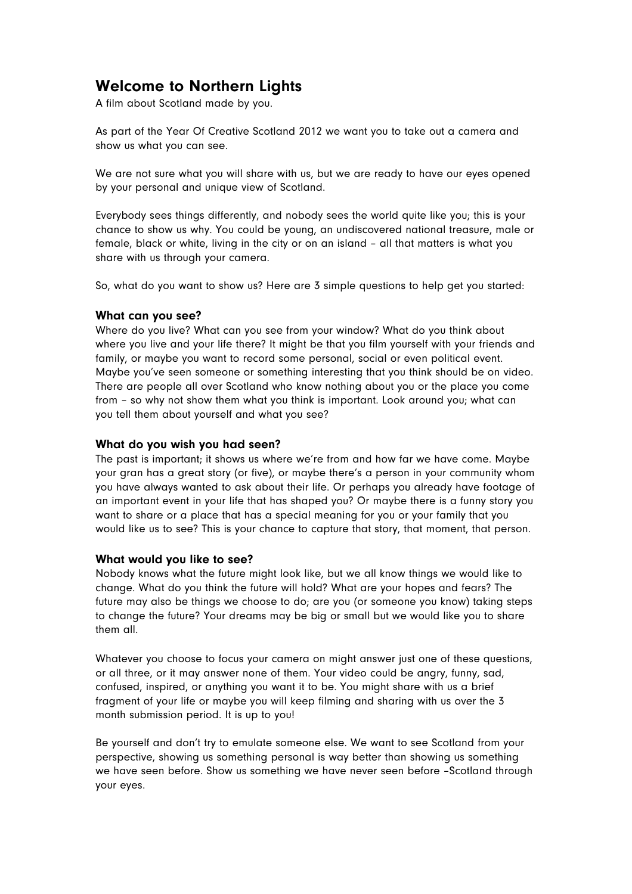# Welcome to Northern Lights

A film about Scotland made by you.

As part of the Year Of Creative Scotland 2012 we want you to take out a camera and show us what you can see.

We are not sure what you will share with us, but we are ready to have our eyes opened by your personal and unique view of Scotland.

Everybody sees things differently, and nobody sees the world quite like you; this is your chance to show us why. You could be young, an undiscovered national treasure, male or female, black or white, living in the city or on an island – all that matters is what you share with us through your camera.

So, what do you want to show us? Here are 3 simple questions to help get you started:

#### What can you see?

Where do you live? What can you see from your window? What do you think about where you live and your life there? It might be that you film yourself with your friends and family, or maybe you want to record some personal, social or even political event. Maybe you've seen someone or something interesting that you think should be on video. There are people all over Scotland who know nothing about you or the place you come from – so why not show them what you think is important. Look around you; what can you tell them about yourself and what you see?

#### What do you wish you had seen?

The past is important; it shows us where we're from and how far we have come. Maybe your gran has a great story (or five), or maybe there's a person in your community whom you have always wanted to ask about their life. Or perhaps you already have footage of an important event in your life that has shaped you? Or maybe there is a funny story you want to share or a place that has a special meaning for you or your family that you would like us to see? This is your chance to capture that story, that moment, that person.

#### What would you like to see?

Nobody knows what the future might look like, but we all know things we would like to change. What do you think the future will hold? What are your hopes and fears? The future may also be things we choose to do; are you (or someone you know) taking steps to change the future? Your dreams may be big or small but we would like you to share them all.

Whatever you choose to focus your camera on might answer just one of these questions, or all three, or it may answer none of them. Your video could be angry, funny, sad, confused, inspired, or anything you want it to be. You might share with us a brief fragment of your life or maybe you will keep filming and sharing with us over the 3 month submission period. It is up to you!

Be yourself and don't try to emulate someone else. We want to see Scotland from your perspective, showing us something personal is way better than showing us something we have seen before. Show us something we have never seen before –Scotland through your eyes.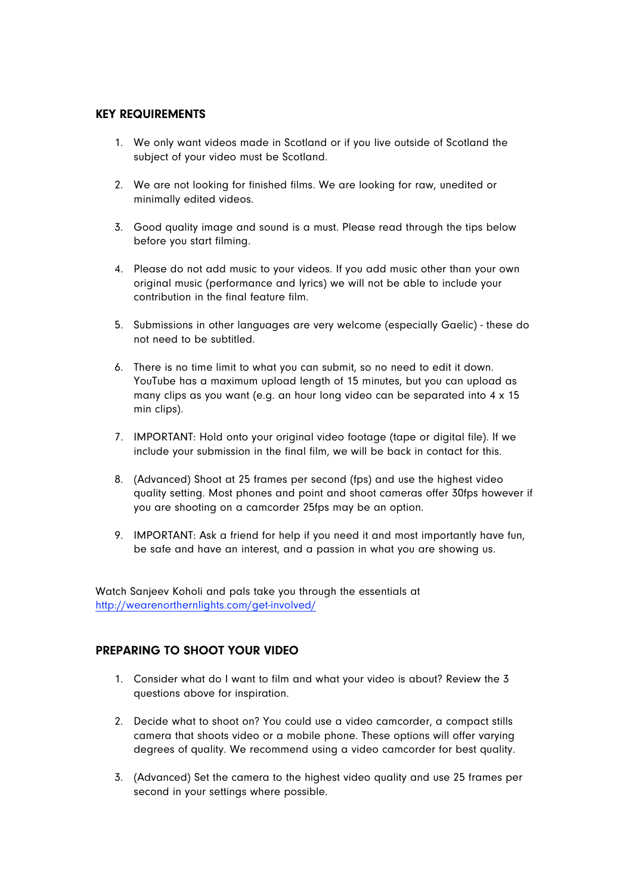#### KEY REQUIREMENTS

- 1. We only want videos made in Scotland or if you live outside of Scotland the subject of your video must be Scotland.
- 2. We are not looking for finished films. We are looking for raw, unedited or minimally edited videos.
- 3. Good quality image and sound is a must. Please read through the tips below before you start filming.
- 4. Please do not add music to your videos. If you add music other than your own original music (performance and lyrics) we will not be able to include your contribution in the final feature film.
- 5. Submissions in other languages are very welcome (especially Gaelic) these do not need to be subtitled.
- 6. There is no time limit to what you can submit, so no need to edit it down. YouTube has a maximum upload length of 15 minutes, but you can upload as many clips as you want (e.g. an hour long video can be separated into 4 x 15 min clips).
- 7. IMPORTANT: Hold onto your original video footage (tape or digital file). If we include your submission in the final film, we will be back in contact for this.
- 8. (Advanced) Shoot at 25 frames per second (fps) and use the highest video quality setting. Most phones and point and shoot cameras offer 30fps however if you are shooting on a camcorder 25fps may be an option.
- 9. IMPORTANT: Ask a friend for help if you need it and most importantly have fun, be safe and have an interest, and a passion in what you are showing us.

Watch Sanjeev Koholi and pals take you through the essentials at http://wearenorthernlights.com/get-involved/

### PREPARING TO SHOOT YOUR VIDEO

- 1. Consider what do I want to film and what your video is about? Review the 3 questions above for inspiration.
- 2. Decide what to shoot on? You could use a video camcorder, a compact stills camera that shoots video or a mobile phone. These options will offer varying degrees of quality. We recommend using a video camcorder for best quality.
- 3. (Advanced) Set the camera to the highest video quality and use 25 frames per second in your settings where possible.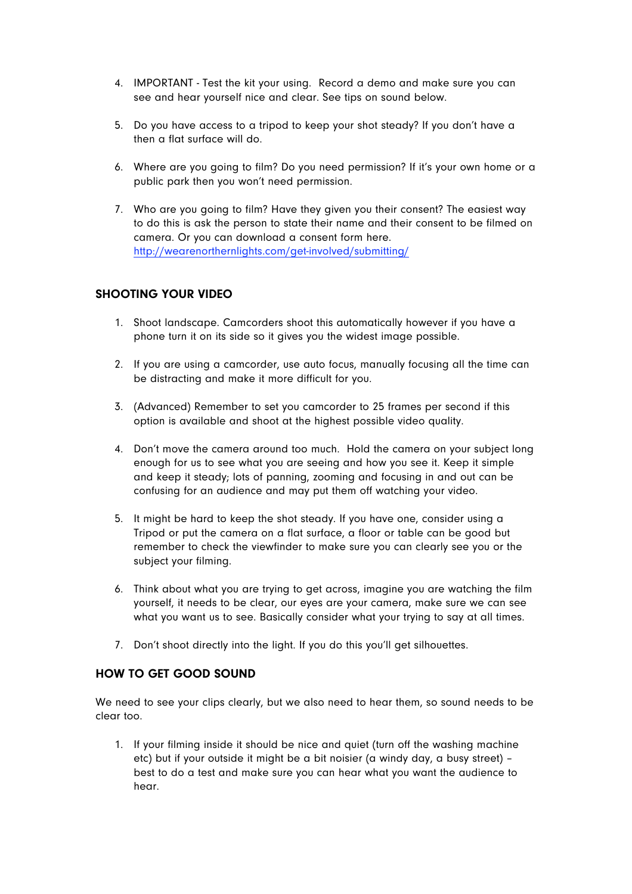- 4. IMPORTANT Test the kit your using. Record a demo and make sure you can see and hear yourself nice and clear. See tips on sound below.
- 5. Do you have access to a tripod to keep your shot steady? If you don't have a then a flat surface will do.
- 6. Where are you going to film? Do you need permission? If it's your own home or a public park then you won't need permission.
- 7. Who are you going to film? Have they given you their consent? The easiest way to do this is ask the person to state their name and their consent to be filmed on camera. Or you can download a consent form here. http://wearenorthernlights.com/get-involved/submitting/

### SHOOTING YOUR VIDEO

- 1. Shoot landscape. Camcorders shoot this automatically however if you have a phone turn it on its side so it gives you the widest image possible.
- 2. If you are using a camcorder, use auto focus, manually focusing all the time can be distracting and make it more difficult for you.
- 3. (Advanced) Remember to set you camcorder to 25 frames per second if this option is available and shoot at the highest possible video quality.
- 4. Don't move the camera around too much. Hold the camera on your subject long enough for us to see what you are seeing and how you see it. Keep it simple and keep it steady; lots of panning, zooming and focusing in and out can be confusing for an audience and may put them off watching your video.
- 5. It might be hard to keep the shot steady. If you have one, consider using a Tripod or put the camera on a flat surface, a floor or table can be good but remember to check the viewfinder to make sure you can clearly see you or the subject your filming.
- 6. Think about what you are trying to get across, imagine you are watching the film yourself, it needs to be clear, our eyes are your camera, make sure we can see what you want us to see. Basically consider what your trying to say at all times.
- 7. Don't shoot directly into the light. If you do this you'll get silhouettes.

# HOW TO GET GOOD SOUND

We need to see your clips clearly, but we also need to hear them, so sound needs to be clear too.

1. If your filming inside it should be nice and quiet (turn off the washing machine etc) but if your outside it might be a bit noisier (a windy day, a busy street) – best to do a test and make sure you can hear what you want the audience to hear.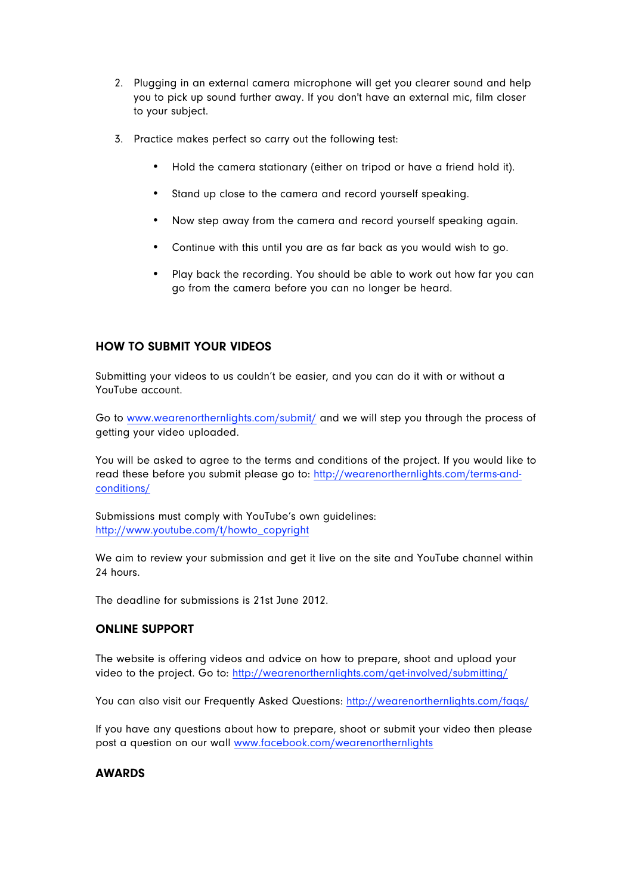- 2. Plugging in an external camera microphone will get you clearer sound and help you to pick up sound further away. If you don't have an external mic, film closer to your subject.
- 3. Practice makes perfect so carry out the following test:
	- Hold the camera stationary (either on tripod or have a friend hold it).
	- Stand up close to the camera and record yourself speaking.
	- Now step away from the camera and record yourself speaking again.
	- Continue with this until you are as far back as you would wish to go.
	- Play back the recording. You should be able to work out how far you can go from the camera before you can no longer be heard.

# HOW TO SUBMIT YOUR VIDEOS

Submitting your videos to us couldn't be easier, and you can do it with or without a YouTube account.

Go to www.wearenorthernlights.com/submit/ and we will step you through the process of getting your video uploaded.

You will be asked to agree to the terms and conditions of the project. If you would like to read these before you submit please go to: http://wearenorthernlights.com/terms-andconditions/

Submissions must comply with YouTube's own guidelines: http://www.youtube.com/t/howto\_copyright

We aim to review your submission and get it live on the site and YouTube channel within 24 hours.

The deadline for submissions is 21st June 2012.

### ONLINE SUPPORT

The website is offering videos and advice on how to prepare, shoot and upload your video to the project. Go to: http://wearenorthernlights.com/get-involved/submitting/

You can also visit our Frequently Asked Questions: http://wearenorthernlights.com/faqs/

If you have any questions about how to prepare, shoot or submit your video then please post a question on our wall www.facebook.com/wearenorthernlights

### **AWARDS**